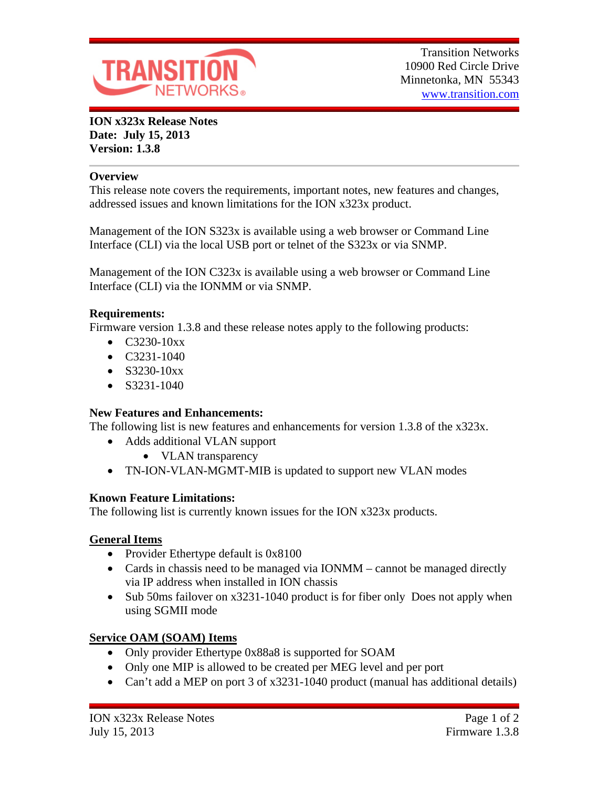

**ION x323x Release Notes Date: July 15, 2013 Version: 1.3.8**

#### **Overview**

This release note covers the requirements, important notes, new features and changes, addressed issues and known limitations for the ION x323x product.

Management of the ION S323x is available using a web browser or Command Line Interface (CLI) via the local USB port or telnet of the S323x or via SNMP.

Management of the ION C323x is available using a web browser or Command Line Interface (CLI) via the IONMM or via SNMP.

### **Requirements:**

Firmware version 1.3.8 and these release notes apply to the following products:

- $\bullet$  C3230-10xx
- $\bullet$  C3231-1040
- $\bullet$  S3230-10xx
- $\bullet$  S3231-1040

### **New Features and Enhancements:**

The following list is new features and enhancements for version 1.3.8 of the x323x.

- Adds additional VLAN support
	- VLAN transparency
- TN-ION-VLAN-MGMT-MIB is updated to support new VLAN modes

### **Known Feature Limitations:**

The following list is currently known issues for the ION x323x products.

### **General Items**

- Provider Ethertype default is 0x8100
- Cards in chassis need to be managed via IONMM cannot be managed directly via IP address when installed in ION chassis
- Sub 50ms failover on x3231-1040 product is for fiber only Does not apply when using SGMII mode

# **Service OAM (SOAM) Items**

- Only provider Ethertype 0x88a8 is supported for SOAM
- Only one MIP is allowed to be created per MEG level and per port
- Can't add a MEP on port 3 of x3231-1040 product (manual has additional details)